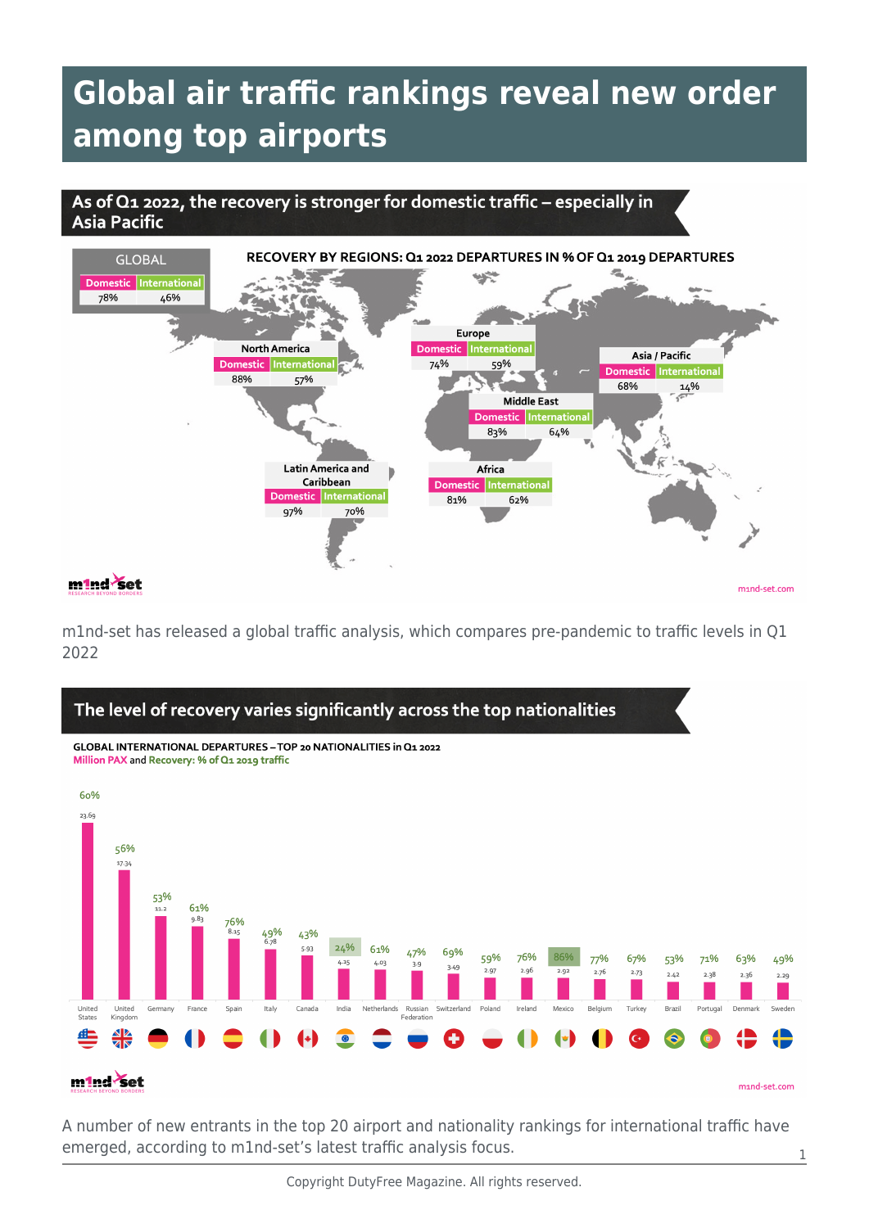## **Global air traffic rankings reveal new order among top airports**

## As of Q1 2022, the recovery is stronger for domestic traffic - especially in **Asia Pacific**



mind-set.com

m1nd-set has released a global traffic analysis, which compares pre-pandemic to traffic levels in Q1 2022



A number of new entrants in the top 20 airport and nationality rankings for international traffic have emerged, according to m1nd-set's latest traffic analysis focus.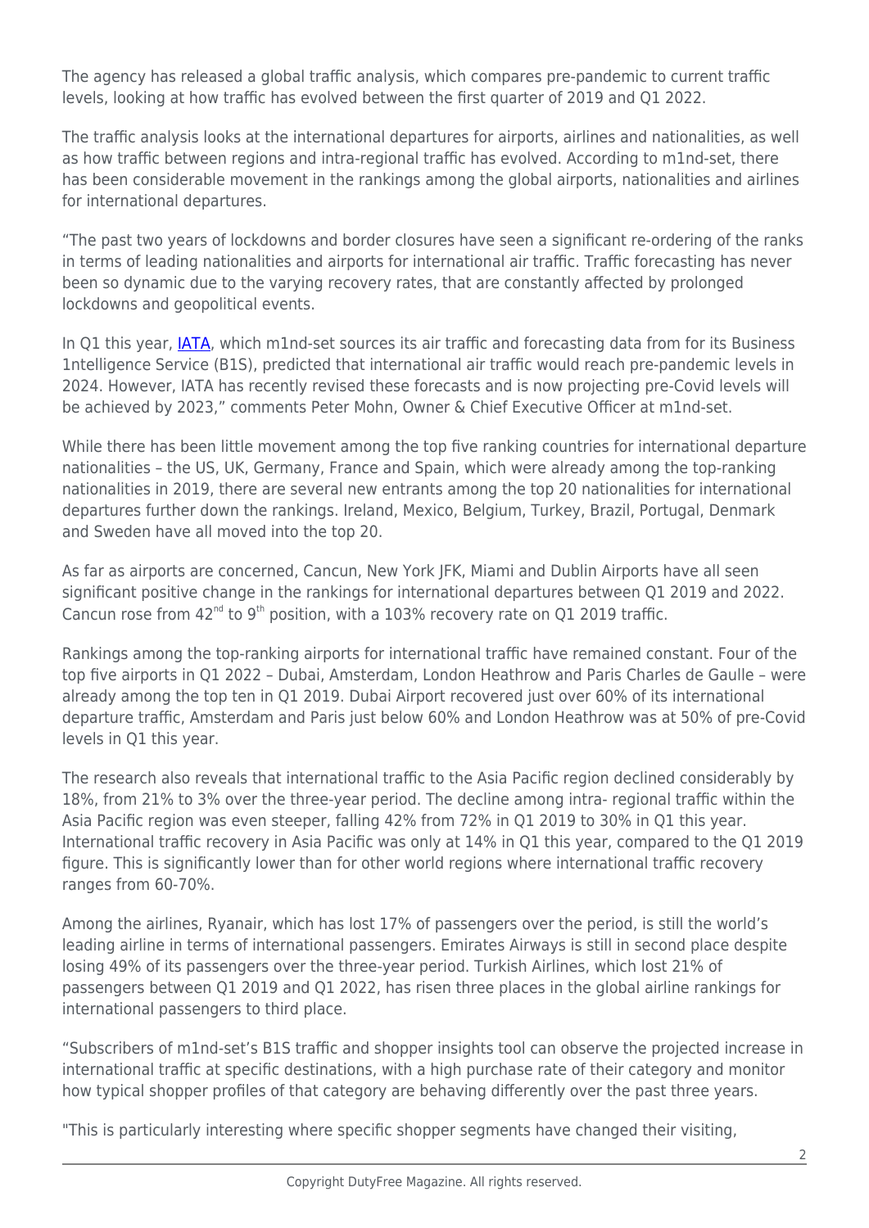The agency has released a global traffic analysis, which compares pre-pandemic to current traffic levels, looking at how traffic has evolved between the first quarter of 2019 and Q1 2022.

The traffic analysis looks at the international departures for airports, airlines and nationalities, as well as how traffic between regions and intra-regional traffic has evolved. According to m1nd-set, there has been considerable movement in the rankings among the global airports, nationalities and airlines for international departures.

"The past two years of lockdowns and border closures have seen a significant re-ordering of the ranks in terms of leading nationalities and airports for international air traffic. Traffic forecasting has never been so dynamic due to the varying recovery rates, that are constantly affected by prolonged lockdowns and geopolitical events.

In Q1 this year, JATA, which m1nd-set sources its air traffic and forecasting data from for its Business 1ntelligence Service (B1S), predicted that international air traffic would reach pre-pandemic levels in 2024. However, IATA has recently revised these forecasts and is now projecting pre-Covid levels will be achieved by 2023," comments Peter Mohn, Owner & Chief Executive Officer at m1nd-set.

While there has been little movement among the top five ranking countries for international departure nationalities – the US, UK, Germany, France and Spain, which were already among the top-ranking nationalities in 2019, there are several new entrants among the top 20 nationalities for international departures further down the rankings. Ireland, Mexico, Belgium, Turkey, Brazil, Portugal, Denmark and Sweden have all moved into the top 20.

As far as airports are concerned, Cancun, New York JFK, Miami and Dublin Airports have all seen significant positive change in the rankings for international departures between Q1 2019 and 2022. Cancun rose from  $42^{nd}$  to  $9^{th}$  position, with a 103% recovery rate on Q1 2019 traffic.

Rankings among the top-ranking airports for international traffic have remained constant. Four of the top five airports in Q1 2022 – Dubai, Amsterdam, London Heathrow and Paris Charles de Gaulle – were already among the top ten in Q1 2019. Dubai Airport recovered just over 60% of its international departure traffic, Amsterdam and Paris just below 60% and London Heathrow was at 50% of pre-Covid levels in Q1 this year.

The research also reveals that international traffic to the Asia Pacific region declined considerably by 18%, from 21% to 3% over the three-year period. The decline among intra- regional traffic within the Asia Pacific region was even steeper, falling 42% from 72% in Q1 2019 to 30% in Q1 this year. International traffic recovery in Asia Pacific was only at 14% in Q1 this year, compared to the Q1 2019 figure. This is significantly lower than for other world regions where international traffic recovery ranges from 60-70%.

Among the airlines, Ryanair, which has lost 17% of passengers over the period, is still the world's leading airline in terms of international passengers. Emirates Airways is still in second place despite losing 49% of its passengers over the three-year period. Turkish Airlines, which lost 21% of passengers between Q1 2019 and Q1 2022, has risen three places in the global airline rankings for international passengers to third place.

"Subscribers of m1nd-set's B1S traffic and shopper insights tool can observe the projected increase in international traffic at specific destinations, with a high purchase rate of their category and monitor how typical shopper profiles of that category are behaving differently over the past three years.

"This is particularly interesting where specific shopper segments have changed their visiting,